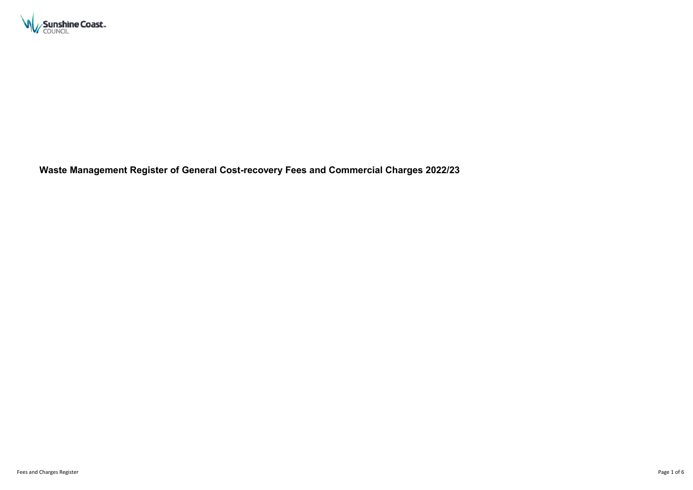

**Waste Management Register of General Cost-recovery Fees and Commercial Charges 2022/23**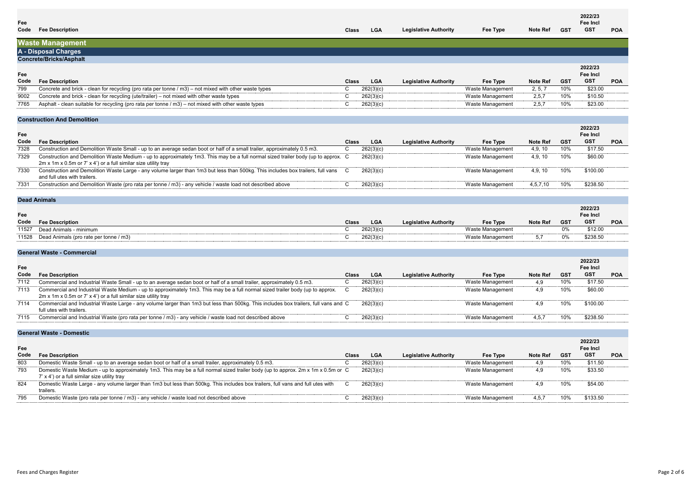# **2022/23 Fee Incl**<br>**GST** GST

**GST POA**

| Note Ref |  |
|----------|--|

## **Waste Management A - Disposal Charges**

#### **Concrete/Bricks/Asphalt**

## **Fee**

|                 |            | 2022/23<br>Fee Incl |            |  |  |  |  |  |  |  |  |
|-----------------|------------|---------------------|------------|--|--|--|--|--|--|--|--|
| <b>Note Ref</b> | <b>GST</b> | GST                 | <b>POA</b> |  |  |  |  |  |  |  |  |
| 2, 5, 7         | 10%        | \$23.00             |            |  |  |  |  |  |  |  |  |
| 2.5.7           | 10%        | \$10.50             |            |  |  |  |  |  |  |  |  |
| 2,5,7           | 10%        | \$23.00             |            |  |  |  |  |  |  |  |  |
|                 |            |                     |            |  |  |  |  |  |  |  |  |

| Code | <b>Fee Description</b>                                                                                      | <b>Class</b> | $\sim$ $\sim$<br>LGA | <b>Legislative Authority</b> | Fee Type         | <b>Note Ref</b> | <b>GST</b> | -GST    |
|------|-------------------------------------------------------------------------------------------------------------|--------------|----------------------|------------------------------|------------------|-----------------|------------|---------|
| 799  | Concrete and brick - clean for recycling (pro rata per tonne / m3) – not mixed with other waste types       |              | 262(3)(c)            |                              | Waste Management |                 | 10%        | \$23.00 |
| 9002 | Concrete and brick - clean for recycling (ute/trailer) – not mixed with other waste types                   |              | 262(3)(              |                              | Waste Management |                 | 10%        | \$10.50 |
| 7765 | $\sim$ - clean suitable for recycling (pro rata per tonne / m3) – not mixed with other waste types<br>Aspha |              | 262(3)(              |                              | Waste Management |                 | 10%        | \$23.00 |

## **Construction And Demolition**

#### **Fee**

|             | <b>CONSUMENTE AND DEMONDED</b>                                                                                                                                                                      |              |            |                              |                  |                 |     |                                   |            |  |  |  |  |
|-------------|-----------------------------------------------------------------------------------------------------------------------------------------------------------------------------------------------------|--------------|------------|------------------------------|------------------|-----------------|-----|-----------------------------------|------------|--|--|--|--|
| Fee<br>Code | <b>Fee Description</b>                                                                                                                                                                              | <b>Class</b> | <b>LGA</b> | <b>Legislative Authority</b> | Fee Type         | <b>Note Ref</b> | GST | 2022/23<br>Fee Incl<br><b>GST</b> | <b>POA</b> |  |  |  |  |
| 7328        | Construction and Demolition Waste Small - up to an average sedan boot or half of a small trailer, approximately 0.5 m3.                                                                             |              | 262(3)(c)  |                              | Waste Management | 4,9, 10         | 10% | \$17.50                           |            |  |  |  |  |
| 7329        | Construction and Demolition Waste Medium - up to approximately 1m3. This may be a full normal sized trailer body (up to approx. C<br>2m x 1m x 0.5m or 7' x 4') or a full similar size utility tray |              | 262(3)(c)  |                              | Waste Management | 4,9, 10         | 10% | \$60.00                           |            |  |  |  |  |
| 7330        | Construction and Demolition Waste Large - any volume larger than 1m3 but less than 500kg. This includes box trailers, full vans C<br>and full utes with trailers.                                   |              | 262(3)(c)  |                              | Waste Management | 4.9.10          | 10% | \$100.00                          |            |  |  |  |  |
| 7331        | Construction and Demolition Waste (pro rata per tonne / m3) - any vehicle / waste load not described above                                                                                          |              | 262(3)(c)  |                              | Waste Management | 4,5,7,10        | 10% | \$238.50                          |            |  |  |  |  |
|             |                                                                                                                                                                                                     |              |            |                              |                  |                 |     |                                   |            |  |  |  |  |

## **Dead Animals**

## **Fee**

|                 | 2022/23<br>Fee Incl |          |            |  |  |  |  |  |  |  |
|-----------------|---------------------|----------|------------|--|--|--|--|--|--|--|
| <b>Note Ref</b> | <b>GST</b>          | GST      | <b>POA</b> |  |  |  |  |  |  |  |
|                 | $0\%$               | \$12.00  |            |  |  |  |  |  |  |  |
| 5.7             | በ%                  | \$238.50 |            |  |  |  |  |  |  |  |
|                 |                     |          |            |  |  |  |  |  |  |  |

| Code  | $F^{\alpha}$<br>scription                       | <b>Class</b> | $\sim$<br>LGA | Legislative Authoritv | Fee Type                         | <b>Note Ref</b> | <b>GST</b> | <b>GST</b> |
|-------|-------------------------------------------------|--------------|---------------|-----------------------|----------------------------------|-----------------|------------|------------|
| 11527 | l Jear<br>Anımals<br>minimum                    |              | 262(3)(c)     |                       | $M$ octo Monou<br>namer<br>wasue |                 |            | \$12.00    |
| 11528 | s (pro rate per tonne / m3)<br>Dead.<br>Animals |              | 262(3)(c)     |                       | Waste Management                 |                 |            | \$238.50   |
|       |                                                 |              |               |                       |                                  |                 |            |            |

## **General Waste - Commercial**

|             | <b>POLICIAL MASLE - POLITICICIAL</b>                                                                                                                                                            |              |            |                              |                  |                 |            |                                   |            |  |  |  |
|-------------|-------------------------------------------------------------------------------------------------------------------------------------------------------------------------------------------------|--------------|------------|------------------------------|------------------|-----------------|------------|-----------------------------------|------------|--|--|--|
| Fee<br>Code | <b>Fee Description</b>                                                                                                                                                                          | <b>Class</b> | <b>LGA</b> | <b>Legislative Authority</b> | Fee Type         | <b>Note Ref</b> | <b>GST</b> | 2022/23<br>Fee Incl<br><b>GST</b> | <b>POA</b> |  |  |  |
| 7112        | Commercial and Industrial Waste Small - up to an average sedan boot or half of a small trailer, approximately 0.5 m3.                                                                           |              | 262(3)(c)  |                              | Waste Management | 4.9             | l U%       | \$17.50                           |            |  |  |  |
| 7113        | Commercial and Industrial Waste Medium - up to approximately 1m3. This may be a full normal sized trailer body (up to approx.<br>2m x 1m x 0.5m or 7' x 4') or a full similar size utility tray |              | 262(3)(c)  |                              | Waste Management | 4,9             | l U%       | \$60.00                           |            |  |  |  |
| 7114        | Commercial and Industrial Waste Large - any volume larger than 1m3 but less than 500kg. This includes box trailers, full vans and C<br>full utes with trailers.                                 |              | 262(3)(c)  |                              | Waste Management | 4,9             | 10%        | \$100.00                          |            |  |  |  |
| 7115        | Commercial and Industrial Waste (pro rata per tonne / m3) - any vehicle / waste load not described above                                                                                        |              | 262(3)(c)  |                              | Waste Management | 4.5.7           |            | \$238.50                          |            |  |  |  |
|             |                                                                                                                                                                                                 |              |            |                              |                  |                 |            |                                   |            |  |  |  |

## **General Waste - Domestic**

| <b>Note Ref</b> | <b>GST</b> | 2022/23<br>Fee Incl<br><b>GST</b> | POA |
|-----------------|------------|-----------------------------------|-----|
| 4.9             | 10%        | \$11.50                           |     |
| 4.9             | 10%        | \$33.50                           |     |
| 4.9             | 10%        | \$54.00                           |     |
| 4,5,7           | 10%        | \$133.50                          |     |
|                 |            |                                   |     |

| Fee  |                                                                                                                                                                                  |              |            |                              |                  |                 |     | Fee Incl   |
|------|----------------------------------------------------------------------------------------------------------------------------------------------------------------------------------|--------------|------------|------------------------------|------------------|-----------------|-----|------------|
| Code | <b>Fee Description</b>                                                                                                                                                           | <b>Class</b> | <b>LGA</b> | <b>Legislative Authority</b> | Fee Type         | <b>Note Ref</b> | GST | <b>GST</b> |
| 803  | Domestic Waste Small - up to an average sedan boot or half of a small trailer, approximately 0.5 m3.                                                                             |              | 262(3)(c)  |                              | Waste Management | 4,9             | 10% | \$11.50    |
| 793  | Domestic Waste Medium - up to approximately 1m3. This may be a full normal sized trailer body (up to approx. 2m x 1m x 0.5m or C<br>7' x 4') or a full similar size utility tray |              | 262(3)(c)  |                              | Waste Management | 4.9             | 10% | \$33.50    |
| 824  | Domestic Waste Large - any volume larger than 1m3 but less than 500kg. This includes box trailers, full vans and full utes with<br>trailers.                                     | C.           | 262(3)(c)  |                              | Waste Management | 4.9             | 10% | \$54.00    |
| 795  | Domestic Waste (pro rata per tonne / m3) - any vehicle / waste load not described above                                                                                          |              | 262(3)(c)  |                              | Waste Management | 4,5,7           | 10% | \$133.50   |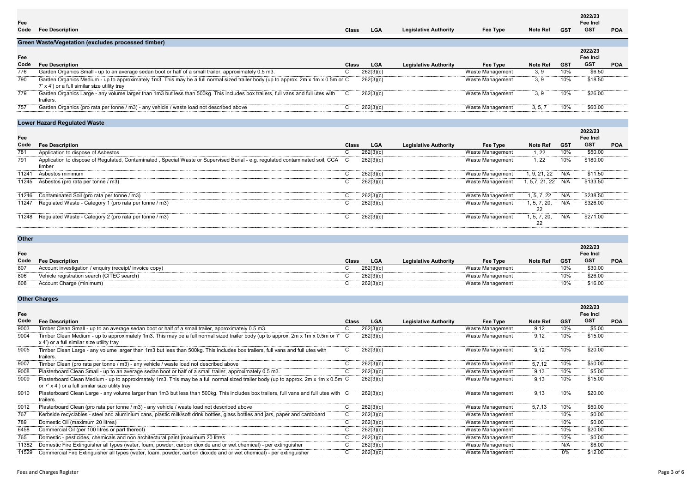**Fee**

| <b>Note Ref</b> | <b>GST</b> | 2022/23<br>Fee Incl<br><b>GST</b> | <b>POA</b> |
|-----------------|------------|-----------------------------------|------------|
|                 |            |                                   |            |
|                 |            | 2022/23                           |            |
|                 |            | Fee Incl                          |            |
| <b>Note Ref</b> | <b>GST</b> | <b>GST</b>                        | <b>POA</b> |
| 3, 9            | 10%        | \$6.50                            |            |
|                 |            |                                   |            |
| 3,9             | 10%        | \$18.50                           |            |
|                 |            |                                   |            |
| 3,9             | 10%        | \$26.00                           |            |
|                 |            |                                   |            |
| 3, 5, 7         | 10%        | \$60.00                           |            |

| Code | <b>Fee Description</b>                                                                                                                                                            | <b>Class</b> | <b>LGA</b> | <b>Legislative Authority</b> | Fee Type         | <b>Note Ref</b> | GST | GS1     |
|------|-----------------------------------------------------------------------------------------------------------------------------------------------------------------------------------|--------------|------------|------------------------------|------------------|-----------------|-----|---------|
| 776  | Garden Organics Small - up to an average sedan boot or half of a small trailer, approximately 0.5 m3.                                                                             |              | 262(3)(c)  |                              | Waste Management | 3.9             | 10% | \$6.50  |
| 790  | Garden Organics Medium - up to approximately 1m3. This may be a full normal sized trailer body (up to approx. 2m x 1m x 0.5m or C<br>7' x 4') or a full similar size utility tray |              | 262(3)(c)  |                              | Waste Management | 3.9             | 10% | \$18.50 |
| 779  | Garden Organics Large - any volume larger than 1m3 but less than 500kg. This includes box trailers, full vans and full utes with<br>trailers.                                     |              | 262(3)(c)  |                              | Waste Management | 3.9             | 10% | \$26.00 |
| 757  | Garden Organics (pro rata per tonne / m3) - any vehicle / waste load not described above                                                                                          |              | 262(3)(c)  |                              | Waste Management | 3, 5,           | 10% | \$60.00 |
|      |                                                                                                                                                                                   |              |            |                              |                  |                 |     |         |

## **Lower Hazard Regulated Waste**

|       | LUNUI TIULUIU INUGUIUNU ITUUN                                                                                                             |              |            |                              |                  |                    |     |                     |            |
|-------|-------------------------------------------------------------------------------------------------------------------------------------------|--------------|------------|------------------------------|------------------|--------------------|-----|---------------------|------------|
| Fee   |                                                                                                                                           |              |            |                              |                  |                    |     | 2022/23<br>Fee Incl |            |
| Code  | <b>Fee Description</b>                                                                                                                    | <b>Class</b> | <b>LGA</b> | <b>Legislative Authority</b> | Fee Type         | <b>Note Ref</b>    | GST | <b>GST</b>          | <b>POA</b> |
| 781   | Application to dispose of Asbestos                                                                                                        | $\mathbf{u}$ | 262(3)(c)  |                              | Waste Management | 1,22               | 10% | \$50.00             |            |
| 791   | Application to dispose of Regulated, Contaminated, Special Waste or Supervised Burial - e.g. regulated contaminated soil, CCA C<br>timber |              | 262(3)(c)  |                              | Waste Management | 1, 22              | 10% | \$180.00            |            |
| 11241 | Asbestos minimum                                                                                                                          | ◡            | 262(3)(c)  |                              | Waste Management | 1, 9, 21, 22       | N/A | \$11.50             |            |
| 11245 | Asbestos (pro rata per tonne / m3)                                                                                                        |              | 262(3)(c)  |                              | Waste Management | 1, 5,7, 21, 22 N/A |     | \$133.50            |            |
|       | 11246 Contaminated Soil (pro rata per tonne / m3)                                                                                         |              | 262(3)(c)  |                              | Waste Management | 1, 5, 7, 22        | N/A | \$238.50            |            |
| 11247 | Regulated Waste - Category 1 (pro rata per tonne / m3)                                                                                    |              | 262(3)(c)  |                              | Waste Management | 1, 5, 7, 20,<br>22 | N/A | \$326.00            |            |
|       | 11248 Regulated Waste - Category 2 (pro rata per tonne / m3)                                                                              | ι.           | 262(3)(c)  |                              | Waste Management | l. 5. 7. 20.<br>22 | N/A | \$271.00            |            |

## **Other**

| <b>VUIT</b> |                                                         |              |            |                              |                  |                 |            |                            |            |
|-------------|---------------------------------------------------------|--------------|------------|------------------------------|------------------|-----------------|------------|----------------------------|------------|
| Fee         |                                                         |              |            |                              |                  |                 |            | 2022/23<br>Fee Incl<br>GST |            |
| Code        | <b>Fee Description</b>                                  | <b>Class</b> | <b>LGA</b> | <b>Legislative Authority</b> | Fee Type         | <b>Note Ref</b> | <b>GST</b> |                            | <b>POA</b> |
| 807<br>     | Account investigation / enquiry (receipt/ invoice copy) |              | 262(3)(c)  |                              | Waste Management |                 | 10%        | \$30.0<br>---------------  |            |
| 806         | Vehicle registration search (CITEC search)              |              | 262(3)(c   |                              | Waste Management |                 | 10%        | \$26.00                    |            |
| <br>808     | Account Charge (minimum)                                |              | 262(3)(c   |                              | Waste Management |                 | 10%        | \$16.00                    |            |

## **Other Charges**

|                 |            | 2022/23<br>Fee Incl |     |
|-----------------|------------|---------------------|-----|
| <b>Note Ref</b> | <b>GST</b> | <b>GST</b>          | POA |
| 9,12            | 10%        | \$5.00              |     |
| 9,12            | 10%        | \$15.00             |     |
| 9,12            | 10%        | \$20.00             |     |
| 5,7,12          | 10%        | \$50.00             |     |
| 9,13            | 10%        | \$5.00              |     |
| 9,13            | 10%        | \$15.00             |     |
| 9,13            | 10%        | \$20.00             |     |
| 5,7,13          | 10%        | \$50.00             |     |
|                 | 10%        | \$0.00              |     |
|                 | 10%        | \$0.00              |     |
|                 | 10%        | \$20.00             |     |
|                 | 10%        | \$0.00              |     |
|                 | N/A        | \$6.00              |     |
|                 | 0%         | \$12.00             |     |

| Fee   |                                                                                                                                                                                      |              |            |                              |                  |                 |            | Fee Incl   |
|-------|--------------------------------------------------------------------------------------------------------------------------------------------------------------------------------------|--------------|------------|------------------------------|------------------|-----------------|------------|------------|
| Code  | <b>Fee Description</b>                                                                                                                                                               | <b>Class</b> | <b>LGA</b> | <b>Legislative Authority</b> | Fee Type         | <b>Note Ref</b> | <b>GST</b> | <b>GST</b> |
| 9003  | Timber Clean Small - up to an average sedan boot or half of a small trailer, approximately 0.5 m3.                                                                                   |              | 262(3)(c)  |                              | Waste Management | 9.12            | 10%        | \$5.00     |
| 9004  | Timber Clean Medium - up to approximately 1m3. This may be a full normal sized trailer body (up to approx. 2m x 1m x 0.5m or 7' C<br>x 4') or a full similar size utility tray       |              | 262(3)(c)  |                              | Waste Management | 9.12            | 10%        | \$15.00    |
| 9005  | Timber Clean Large - any volume larger than 1m3 but less than 500kg. This includes box trailers, full vans and full utes with<br>trailers.                                           |              | 262(3)(c)  |                              | Waste Management | 9.12            | 10%        | \$20.00    |
| 9007  | Timber Clean (pro rata per tonne / m3) - any vehicle / waste load not described above                                                                                                |              | 262(3)(c)  |                              | Waste Management | 5,7,12          | 10%        | \$50.00    |
| 9008  | Plasterboard Clean Small - up to an average sedan boot or half of a small trailer, approximately 0.5 m3.                                                                             |              | 262(3)(c)  |                              | Waste Management | 9.13            | <br>10%    | \$5.00     |
| 9009  | Plasterboard Clean Medium - up to approximately 1m3. This may be a full normal sized trailer body (up to approx. 2m x 1m x 0.5m C<br>or 7' x 4') or a full similar size utility tray |              | 262(3)(c)  |                              | Waste Management | 9.13            | 10%        | \$15.00    |
| 9010  | Plasterboard Clean Large - any volume larger than 1m3 but less than 500kg. This includes box trailers, full vans and full utes with C<br>trailers.                                   |              | 262(3)(c)  |                              | Waste Management | 9.13            | 10%        | \$20.00    |
| 9012  | Plasterboard Clean (pro rata per tonne / m3) - any vehicle / waste load not described above                                                                                          |              | 262(3)(c)  |                              | Waste Management | 5,7,13          | 10%        | \$50.00    |
| 767   | Kerbside recyclables - steel and aluminium cans, plastic milk/soft drink bottles, glass bottles and jars, paper and cardboard                                                        |              | 262(3)(c)  |                              | Waste Management |                 | 10%        | \$0.00     |
| 789   | Domestic Oil (maximum 20 litres)                                                                                                                                                     |              | 262(3)(c)  |                              | Waste Management |                 | 10%        | \$0.00     |
| 6458  | Commercial Oil (per 100 litres or part thereof)                                                                                                                                      |              | 262(3)(c)  |                              | Waste Management |                 | 10%        | \$20.00    |
| 765   | Domestic - pesticides, chemicals and non architectural paint (maximum 20 litres                                                                                                      |              | 262(3)(c)  |                              | Waste Management |                 | 10%        | \$0.00     |
| 11382 | Domestic Fire Extinguisher all types (water, foam, powder, carbon dioxide and or wet chemical) - per extinguisher                                                                    |              | 262(3)(c)  |                              | Waste Management |                 | N/A        | \$6.00     |
| 11529 | Commercial Fire Extinguisher all types (water, foam, powder, carbon dioxide and or wet chemical) - per extinguisher                                                                  |              | 262(3)(c)  |                              | Waste Management |                 | 0%         | \$12.00    |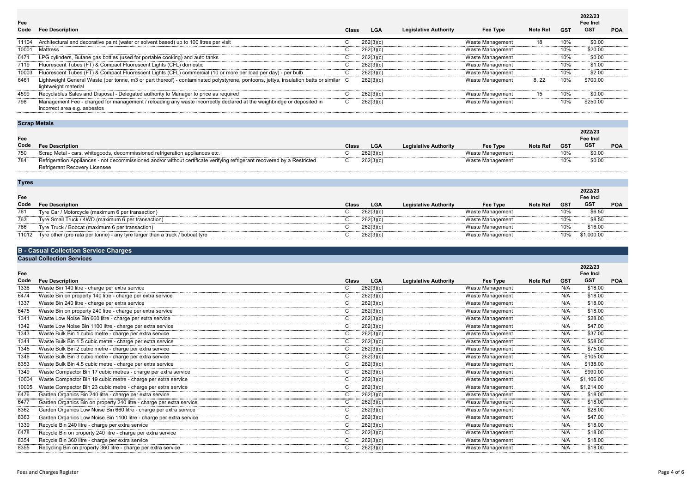| <b>Note Ref</b> | <b>GST</b> | 2022/23<br>Fee Incl<br><b>GST</b> | <b>POA</b> |
|-----------------|------------|-----------------------------------|------------|
| 18              | 10%        | \$0.00                            |            |
|                 | 10%        | \$20.00                           |            |
|                 | 10%        | \$0.00                            |            |
|                 | 10%        | \$1.00                            |            |
|                 | 10%        | \$2.00                            |            |
| 8, 22           | 10%        | \$700.00                          |            |
| 15              | 10%        | \$0.00                            |            |
|                 | 10%        | \$250.00                          |            |

| Code  | <b>Fee Description</b>                                                                                                                                        | <b>Class</b> | <b>LGA</b> | <b>Legislative Authority</b> | Fee Type         | <b>Note Ref</b> | <b>GST</b> | <b>GST</b> |
|-------|---------------------------------------------------------------------------------------------------------------------------------------------------------------|--------------|------------|------------------------------|------------------|-----------------|------------|------------|
| 11104 | Architectural and decorative paint (water or solvent based) up to 100 litres per visit                                                                        |              | 262(3)(c)  |                              | Waste Management | 18              | 10%        | \$0.00     |
| 10001 | Mattress                                                                                                                                                      |              | 262(3)(c)  |                              | Waste Management |                 | 10%        | \$20.00    |
| 6471  | LPG cylinders, Butane gas bottles (used for portable cooking) and auto tanks                                                                                  |              | 262(3)(c)  |                              | Waste Management |                 | 10%        | \$0.00     |
| 7119  | Fluorescent Tubes (FT) & Compact Fluorescent Lights (CFL) domestic                                                                                            |              | 262(3)(c)  |                              | Waste Management |                 | 10%        | \$1.00     |
| 10003 | Fluorescent Tubes (FT) & Compact Fluorescent Lights (CFL) commercial (10 or more per load per day) - per bulb                                                 |              | 262(3)(c)  |                              | Waste Management |                 | 10%        | \$2.00     |
| 6461  | Lightweight General Waste (per tonne, m3 or part thereof) - contaminated polystyrene, pontoons, jettys, insulation batts or similar C<br>lightweight material |              | 262(3)(c)  |                              | Waste Management | 8, 22           | 10%        | \$700.00   |
| 4599  | Recyclables Sales and Disposal - Delegated authority to Manager to price as required                                                                          |              | 262(3)(c)  |                              | Waste Management | 15              | 10%        | \$0.00     |
| 798   | Management Fee - charged for management / reloading any waste incorrectly declared at the weighbridge or deposited in<br>incorrect area e.g. asbestos         | C.           | 262(3)(c)  |                              | Waste Management |                 | 10%        | \$250.00   |

## **Scrap Metals**

**Fee**

|                 |            | 2022/23<br>Fee Incl |            |
|-----------------|------------|---------------------|------------|
| <b>Note Ref</b> | <b>GST</b> | GST                 | <b>POA</b> |
|                 | 10%        | \$0.00              |            |
|                 | 10%        | \$0.00              |            |

| Code | <b>Fee Description</b>                                                                                                   | <b>Class</b> | <b>LGA</b> | <b>Legislative Authority</b> | <b>Fee Type</b> | <b>Note Ref</b> | <b>GST</b> | GST    |
|------|--------------------------------------------------------------------------------------------------------------------------|--------------|------------|------------------------------|-----------------|-----------------|------------|--------|
| 750  | Scrap Metal - cars, whitegoods, decommissioned refrigeration appliances etc.                                             |              | 262(3)(c)  |                              | Waste Managemen |                 | 10%        | \$0.OC |
| 784  | Refrigeration Appliances - not decommissioned and/or without certificate verifying refrigerant recovered by a Restricted |              | 262(3)(c)  |                              | Waste Managemen |                 | 10%        | \$0.OC |
|      | Refrigerant Recovery Licensee                                                                                            |              |            |                              |                 |                 |            |        |

**Tyres**

| Fee   |                                                                              |              |            |                              |                  |                 |            | 2022/23<br><b>Fee Incl</b> |            |
|-------|------------------------------------------------------------------------------|--------------|------------|------------------------------|------------------|-----------------|------------|----------------------------|------------|
| Code  | <b>Fee Description</b>                                                       | <b>Class</b> | <b>LGA</b> | <b>Legislative Authority</b> | Fee Type         | <b>Note Ref</b> | <b>GST</b> | <b>GST</b>                 | <b>POA</b> |
| 761   | Tyre Car / Motorcycle (maximum 6 per transaction)                            |              | 262(3)(c)  |                              | Waste Management |                 |            | \$6.50                     |            |
| 763   | Tyre Small Truck / 4WD (maximum 6 per transaction)                           |              | 262(3)(c)  |                              | Waste Management |                 |            | \$8.50                     |            |
| 766   | Tyre Truck / Bobcat (maximum 6 per transaction)                              |              | 262(3)(c)  |                              | Waste Management |                 |            | \$16.00                    |            |
| 11012 | Tyre other (pro rata per tonne) - any tyre larger than a truck / bobcat tyre |              | 262(3)(c)  |                              | Waste Management |                 | 10%        | \$1,000.00                 |            |
|       |                                                                              |              |            |                              |                  |                 |            |                            |            |

### **B - Casual Collection Service Charges**

**Casual Collection Services**

**Fee**

|                             |            | 2022/23<br>Fee Incl |                |
|-----------------------------|------------|---------------------|----------------|
| <b>Note Ref</b>             | <b>GST</b> | <b>GST</b>          | <b>POA</b>     |
|                             | N/A        | \$18.00             |                |
|                             | N/A        | \$18.00             | .              |
|                             | N/A        | \$18.00             | .              |
|                             | N/A        | \$18.00             | .              |
|                             | N/A        | \$28.00             | .              |
|                             | N/A        | \$47.00             |                |
|                             | N/A        | \$37.00             | .              |
|                             | N/A        | \$58.00             |                |
|                             | N/A        | \$75.00             |                |
|                             | N/A        | \$105.00            |                |
|                             | N/A        | \$138.00            | .              |
|                             | N/A        | \$990.00            |                |
|                             | N/A        | \$1,106.00          | .              |
| --------------------------- | N/A        | \$1,214.00          |                |
| --------------------------- | N/A        | \$18.00             | .              |
|                             | N/A        | \$18.00             | -------------- |
|                             | N/A        | \$28.00             |                |
| ----------------------      | N/A        | \$47.00             | .              |
|                             | N/A        | \$18.00             |                |
|                             | N/A        | \$18.00             |                |
|                             | N/A        | \$18.00             |                |
|                             | N/A        | \$18.00             |                |
|                             |            |                     |                |

| Code     | <b>Fee Description</b>                                               | <b>Class</b> | <b>LGA</b> | <b>Legislative Authority</b> | Fee Type         | Note Ref | <b>GST</b> | <b>GST</b> |
|----------|----------------------------------------------------------------------|--------------|------------|------------------------------|------------------|----------|------------|------------|
| 1336     | Waste Bin 140 litre - charge per extra service                       |              | 262(3)(c)  |                              | Waste Management |          | N/A        | \$18.00    |
| 6474     | Waste Bin on property 140 litre - charge per extra service           |              | 262(3)(c)  |                              | Waste Management |          | N/A        | \$18.00    |
| 1337     | Waste Bin 240 litre - charge per extra service                       |              | 262(3)(c)  |                              | Waste Management |          | N/A        | \$18.00    |
| 6475     | Waste Bin on property 240 litre - charge per extra service           |              | 262(3)(c)  |                              | Waste Management |          | N/A        | \$18.00    |
| 1341     | Waste Low Noise Bin 660 litre - charge per extra service             |              | 262(3)(c)  |                              | Waste Management |          | N/A        | \$28.00    |
| 1342     | Waste Low Noise Bin 1100 litre - charge per extra service            |              | 262(3)(c)  |                              | Waste Management |          | N/A        | \$47.00    |
| 1343<br> | Waste Bulk Bin 1 cubic metre - charge per extra service              |              | 262(3)(c)  |                              | Waste Management |          | N/A        | \$37.00    |
| 1344     | Waste Bulk Bin 1.5 cubic metre - charge per extra service            |              | 262(3)(c)  |                              | Waste Management |          | N/A        | \$58.00    |
| 1345<br> | Waste Bulk Bin 2 cubic metre - charge per extra service              |              | 262(3)(c)  |                              | Waste Management |          | N/A        | \$75.00    |
| 1346     | Waste Bulk Bin 3 cubic metre - charge per extra service              |              | 262(3)(c)  |                              | Waste Management |          | N/A        | \$105.00   |
| 8353<br> | Waste Bulk Bin 4.5 cubic metre - charge per extra service            |              | 262(3)(c)  |                              | Waste Management |          | N/A        | \$138.00   |
| 1349     | Waste Compactor Bin 17 cubic metres - charge per extra service       |              | 262(3)(c)  |                              | Waste Management |          | N/A        | \$990.00   |
| 10004    | Waste Compactor Bin 19 cubic metre - charge per extra service        |              | 262(3)(c)  |                              | Waste Management |          | N/A        | \$1,106.00 |
| 10005    | Waste Compactor Bin 23 cubic metre - charge per extra service        |              | 262(3)(c)  |                              | Waste Management |          | N/A        | \$1,214.00 |
| 6476     | Garden Organics Bin 240 litre - charge per extra service             |              | 262(3)(c)  |                              | Waste Management |          | N/A        | \$18.00    |
| 6477     | Garden Organics Bin on property 240 litre - charge per extra service |              | 262(3)(c)  |                              | Waste Management |          | N/A        | \$18.00    |
| 8362     | Garden Organics Low Noise Bin 660 litre - charge per extra service   |              | 262(3)(c)  |                              | Waste Management |          | N/A        | \$28.00    |
| 8363     | Garden Organics Low Noise Bin 1100 litre - charge per extra service  |              | 262(3)(c)  |                              | Waste Management |          | N/A        | \$47.00    |
| 1339     | Recycle Bin 240 litre - charge per extra service                     |              | 262(3)(c)  |                              | Waste Management |          | N/A        | \$18.00    |
| 6478     | Recycle Bin on property 240 litre - charge per extra service         |              | 262(3)(c)  |                              | Waste Management |          | N/A        | \$18.00    |
| 8354     | Recycle Bin 360 litre - charge per extra service                     |              | 262(3)(c)  |                              | Waste Management |          | N/A        | \$18.00    |
| 8355     | Recycling Bin on property 360 litre - charge per extra service       |              | 262(3)(c)  |                              | Waste Management |          | N/A        | \$18.00    |
|          |                                                                      |              |            |                              |                  |          |            |            |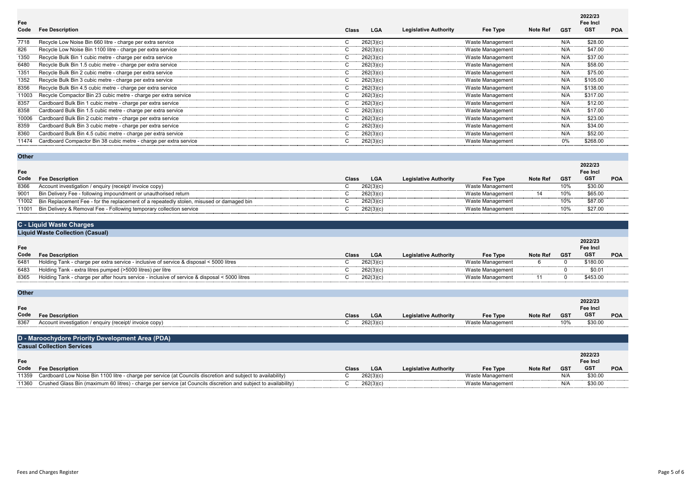**Fee** 

| <b>Note Ref</b>          | <b>GST</b> | 2022/23<br>Fee Incl<br><b>GST</b> | <b>POA</b> |
|--------------------------|------------|-----------------------------------|------------|
|                          | N/A        | \$28.00                           |            |
|                          | N/A        | \$47.00                           |            |
|                          | N/A        | \$37.00                           |            |
|                          | N/A        | \$58.00                           |            |
|                          | N/A        | \$75.00                           | <br>       |
| ------------------------ | N/A        | \$105.00                          |            |
|                          | N/A        | \$138.00                          | .          |
|                          | N/A        | \$317.00                          |            |
|                          | N/A        | \$12.00                           | .          |
|                          | N/A        | \$17.00                           |            |
|                          | N/A        | \$23.00                           |            |
|                          | N/A        | \$34.00                           |            |
|                          | N/A        | \$52.00                           |            |
|                          | 0%         | \$268.00                          |            |

| Code  | <b>Fee Description</b>                                          | <b>Class</b> | <b>LGA</b> | <b>Legislative Authority</b> | Fee Type         | <b>Note Ref</b> | GST | .<br>GST |
|-------|-----------------------------------------------------------------|--------------|------------|------------------------------|------------------|-----------------|-----|----------|
| 7718  | Recycle Low Noise Bin 660 litre - charge per extra service      |              | 262(3)(c)  |                              | Waste Management |                 | N/A | \$28.00  |
| 826   | Recycle Low Noise Bin 1100 litre - charge per extra service     |              | 262(3)(c)  |                              | Waste Management |                 | N/A | \$47.00  |
| 1350  | Recycle Bulk Bin 1 cubic metre - charge per extra service       |              | 262(3)(c)  |                              | Waste Management |                 | N/A | \$37.00  |
| 6480  | Recycle Bulk Bin 1.5 cubic metre - charge per extra service     |              | 262(3)(c)  |                              | Waste Management |                 | N/A | \$58.00  |
| 1351  | Recycle Bulk Bin 2 cubic metre - charge per extra service       |              | 262(3)(c)  |                              | Waste Management |                 | N/A | \$75.00  |
| 1352  | Recycle Bulk Bin 3 cubic metre - charge per extra service       |              | 262(3)(c)  |                              | Waste Management |                 | N/A | \$105.00 |
| 8356  | Recycle Bulk Bin 4.5 cubic metre - charge per extra service     |              | 262(3)(c)  |                              | Waste Management |                 | N/A | \$138.00 |
| 11003 | Recycle Compactor Bin 23 cubic metre - charge per extra service |              | 262(3)(c)  |                              | Waste Management |                 | N/A | \$317.00 |
| 8357  | Cardboard Bulk Bin 1 cubic metre - charge per extra service     |              | 262(3)(c)  |                              | Waste Management |                 | N/A | \$12.00  |
| 8358  | Cardboard Bulk Bin 1.5 cubic metre - charge per extra service   |              | 262(3)(c)  |                              | Waste Management |                 | N/A | \$17.00  |
| 10006 | Cardboard Bulk Bin 2 cubic metre - charge per extra service     |              | 262(3)(c)  |                              | Waste Management |                 | N/A | \$23.00  |
| 8359  | Cardboard Bulk Bin 3 cubic metre - charge per extra service     |              | 262(3)(c)  |                              | Waste Management |                 | N/A | \$34.00  |
| 8360  | Cardboard Bulk Bin 4.5 cubic metre - charge per extra service   |              | 262(3)(c)  |                              | Waste Management |                 | N/A | \$52.00  |

8360 Cardboard Bulk Bin 4.5 cubic metre - charge per extra service Cardboard Bulk Bin 4.5 cubic metre - charge per extra service Cardboard Compactor Bin 38 cubic metre - charge per extra service Cardboard Compactor Bin 38

11474 Cardboard Compactor Bin 38 cubic metre - charge per extra service C 262(3)(c) Waste Management 0% \$268.00

#### **Other**

|                                                                                          |            |                              |                  |                 |            | <b>Fee Incl</b> |            |
|------------------------------------------------------------------------------------------|------------|------------------------------|------------------|-----------------|------------|-----------------|------------|
| <b>Fee Description</b>                                                                   | <b>LGA</b> | <b>Legislative Authority</b> | Fee Type         | <b>Note Ref</b> | <b>GST</b> | <b>GST</b>      | <b>POA</b> |
| Account investigation / enquiry (receipt/ invoice copy)                                  | 262(3)(c)  |                              | Waste Management |                 | 10%        | \$30.00         |            |
| Bin Delivery Fee - following impoundment or unauthorised return                          | 262(3)(c)  |                              | Waste Management |                 | 10%        | \$65.00         |            |
| Bin Replacement Fee - for the replacement of a repeatedly stolen, misused or damaged bin | 262(3)(c)  |                              | Waste Management |                 | 10%        | \$87.00         |            |
| Bin Delivery & Removal Fee - Following temporary collection service                      | 262(3)(c)  |                              | Waste Management |                 | 10%        | \$27.00         |            |
|                                                                                          |            | <b>Class</b>                 |                  |                 |            |                 | 2022/23    |

# **C - Liquid Waste Charges**

|                        | <b>Liquid Waste Collection (Casual)</b>                                                       |              |            |                              |                  |                 |            |                            |            |
|------------------------|-----------------------------------------------------------------------------------------------|--------------|------------|------------------------------|------------------|-----------------|------------|----------------------------|------------|
| Fee                    |                                                                                               |              |            |                              |                  |                 |            | 2022/23<br><b>Fee Incl</b> |            |
| Code                   | <b>Fee Description</b>                                                                        | <b>Class</b> | <b>LGA</b> | <b>Legislative Authority</b> | Fee Type         | <b>Note Ref</b> | <b>GST</b> | <b>GST</b>                 | <b>POA</b> |
| 6481<br>,,,,,,,,,,,,,, | Holding Tank - charge per extra service - inclusive of service & disposal < 5000 litres       |              | 262(3)(c)  |                              | Waste Management |                 |            | \$180.00                   |            |
| 6483                   | Holding Tank - extra litres pumped (>5000 litres) per litre                                   |              | 262(3)(c)  |                              | Waste Management |                 |            | $$0.0^{\circ}$             |            |
| 8365                   | Holding Tank - charge per after hours service - inclusive of service & disposal < 5000 litres |              | 262(3)(c)  |                              | Waste Management |                 |            | \$453.00                   |            |

## **Other**

| <b>AUIA</b> |                                                         |       |            |                              |                  |                 |            |                     |            |
|-------------|---------------------------------------------------------|-------|------------|------------------------------|------------------|-----------------|------------|---------------------|------------|
|             |                                                         |       |            |                              |                  |                 |            |                     |            |
| Fee         |                                                         |       |            |                              |                  |                 |            | 2022/23<br>Fee Incl |            |
| Code        | <b>Fee Description</b>                                  | Class | <b>LGA</b> | <b>Legislative Authority</b> | <b>Fee Type</b>  | <b>Note Ref</b> | <b>GST</b> | <b>GST</b>          | <b>POA</b> |
| 8367        | Account investigation / enquiry (receipt/ invoice copy) |       | 262(3)(c)  |                              | Waste Management |                 | 10%        | \$30.00             |            |
|             |                                                         |       |            |                              |                  |                 |            |                     |            |

## **D - Maroochydore Priority Development Area (PDA) Casual Collection Services**

#### **Fee**

|                 |            | Fee Incl |     |
|-----------------|------------|----------|-----|
| <b>Note Ref</b> | <b>GST</b> | GST      | POA |
|                 | N/A        | \$30.00  |     |
|                 | N/A        | \$30.00  |     |
|                 |            |          |     |

| Code  | <b>Fee Description</b>                                                                                                   | Clas. | LUA       | egislative Authority | <b>Fee Type</b>      | <b>Note Ref</b> | <b>GST</b> | GS <sub>1</sub> |
|-------|--------------------------------------------------------------------------------------------------------------------------|-------|-----------|----------------------|----------------------|-----------------|------------|-----------------|
| 11359 | Low Noise Bin 1100 litre - charge per service (at Councils discretion and subject to availability)<br>Cardboard L        |       | 262(3)(c  |                      | Managemen<br>vv ası  |                 | IN/H       | \$30.00         |
| 11360 | 1 Glass Bin (maximum 60 litres) -<br>) - charge per service (at Councils discretion and s.<br>Crushed<br>to availability |       | 262(3)(c) |                      | Wast<br>≧ Manaɑemen. |                 | N/A        | \$30.00         |